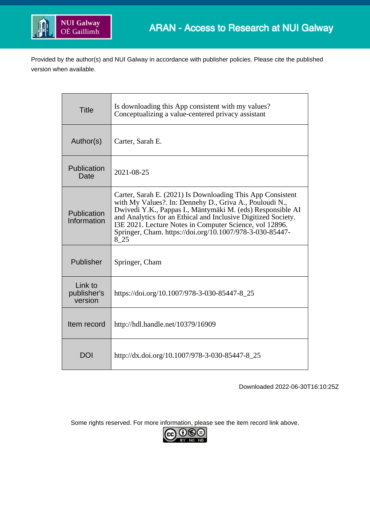

Provided by the author(s) and NUI Galway in accordance with publisher policies. Please cite the published version when available.

| <b>Title</b>                      | Is downloading this App consistent with my values?<br>Conceptualizing a value-centered privacy assistant                                                                                                                                                                                                                                                                            |
|-----------------------------------|-------------------------------------------------------------------------------------------------------------------------------------------------------------------------------------------------------------------------------------------------------------------------------------------------------------------------------------------------------------------------------------|
| Author(s)                         | Carter, Sarah E.                                                                                                                                                                                                                                                                                                                                                                    |
| Publication<br>Date               | 2021-08-25                                                                                                                                                                                                                                                                                                                                                                          |
| Publication<br>Information        | Carter, Sarah E. (2021) Is Downloading This App Consistent<br>with My Values?. In: Dennehy D., Griva A., Pouloudi N.,<br>Dwivedi Y.K., Pappas I., Mäntymäki M. (eds) Responsible AI<br>and Analytics for an Ethical and Inclusive Digitized Society.<br>I3E 2021. Lecture Notes in Computer Science, vol 12896.<br>Springer, Cham. https://doi.org/10.1007/978-3-030-85447-<br>8 25 |
| Publisher                         | Springer, Cham                                                                                                                                                                                                                                                                                                                                                                      |
| Link to<br>publisher's<br>version | https://doi.org/10.1007/978-3-030-85447-8_25                                                                                                                                                                                                                                                                                                                                        |
| Item record                       | http://hdl.handle.net/10379/16909                                                                                                                                                                                                                                                                                                                                                   |
| DOI                               | http://dx.doi.org/10.1007/978-3-030-85447-8_25                                                                                                                                                                                                                                                                                                                                      |

Downloaded 2022-06-30T16:10:25Z

Some rights reserved. For more information, please see the item record link above.

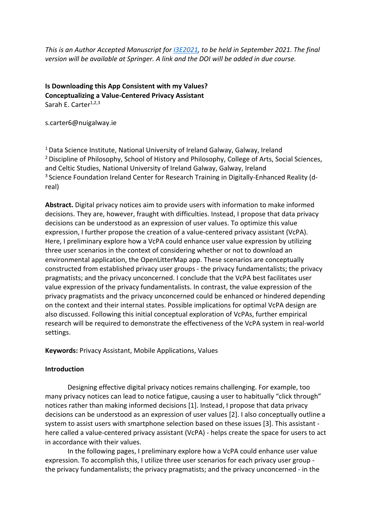*This is an Author Accepted Manuscript for I3E2021, to be held in September 2021. The final version will be available at Springer. A link and the DOI will be added in due course.* 

**Is Downloading this App Consistent with my Values? Conceptualizing a Value-Centered Privacy Assistant** Sarah E. Carter<sup>1,2,3</sup>

s.carter6@nuigalway.ie

<sup>1</sup> Data Science Institute, National University of Ireland Galway, Galway, Ireland <sup>2</sup> Discipline of Philosophy, School of History and Philosophy, College of Arts, Social Sciences, and Celtic Studies, National University of Ireland Galway, Galway, Ireland <sup>3</sup> Science Foundation Ireland Center for Research Training in Digitally-Enhanced Reality (dreal)

**Abstract.** Digital privacy notices aim to provide users with information to make informed decisions. They are, however, fraught with difficulties. Instead, I propose that data privacy decisions can be understood as an expression of user values. To optimize this value expression, I further propose the creation of a value-centered privacy assistant (VcPA). Here, I preliminary explore how a VcPA could enhance user value expression by utilizing three user scenarios in the context of considering whether or not to download an environmental application, the OpenLitterMap app. These scenarios are conceptually constructed from established privacy user groups - the privacy fundamentalists; the privacy pragmatists; and the privacy unconcerned. I conclude that the VcPA best facilitates user value expression of the privacy fundamentalists. In contrast, the value expression of the privacy pragmatists and the privacy unconcerned could be enhanced or hindered depending on the context and their internal states. Possible implications for optimal VcPA design are also discussed. Following this initial conceptual exploration of VcPAs, further empirical research will be required to demonstrate the effectiveness of the VcPA system in real-world settings.

**Keywords:** Privacy Assistant, Mobile Applications, Values

# **Introduction**

Designing effective digital privacy notices remains challenging. For example, too many privacy notices can lead to notice fatigue, causing a user to habitually "click through" notices rather than making informed decisions [1]. Instead, I propose that data privacy decisions can be understood as an expression of user values [2]. I also conceptually outline a system to assist users with smartphone selection based on these issues [3]. This assistant here called a value-centered privacy assistant (VcPA) - helps create the space for users to act in accordance with their values.

In the following pages, I preliminary explore how a VcPA could enhance user value expression. To accomplish this, I utilize three user scenarios for each privacy user group the privacy fundamentalists; the privacy pragmatists; and the privacy unconcerned - in the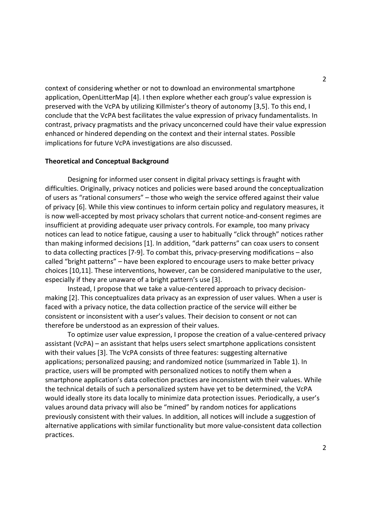context of considering whether or not to download an environmental smartphone application, OpenLitterMap [4]. I then explore whether each group's value expression is preserved with the VcPA by utilizing Killmister's theory of autonomy [3,5]. To this end, I conclude that the VcPA best facilitates the value expression of privacy fundamentalists. In contrast, privacy pragmatists and the privacy unconcerned could have their value expression enhanced or hindered depending on the context and their internal states. Possible implications for future VcPA investigations are also discussed.

#### **Theoretical and Conceptual Background**

Designing for informed user consent in digital privacy settings is fraught with difficulties. Originally, privacy notices and policies were based around the conceptualization of users as "rational consumers" – those who weigh the service offered against their value of privacy [6]. While this view continues to inform certain policy and regulatory measures, it is now well-accepted by most privacy scholars that current notice-and-consent regimes are insufficient at providing adequate user privacy controls. For example, too many privacy notices can lead to notice fatigue, causing a user to habitually "click through" notices rather than making informed decisions [1]. In addition, "dark patterns" can coax users to consent to data collecting practices [7-9]. To combat this, privacy-preserving modifications – also called "bright patterns" – have been explored to encourage users to make better privacy choices [10,11]. These interventions, however, can be considered manipulative to the user, especially if they are unaware of a bright pattern's use [3].

Instead, I propose that we take a value-centered approach to privacy decisionmaking [2]. This conceptualizes data privacy as an expression of user values. When a user is faced with a privacy notice, the data collection practice of the service will either be consistent or inconsistent with a user's values. Their decision to consent or not can therefore be understood as an expression of their values.

To optimize user value expression, I propose the creation of a value-centered privacy assistant (VcPA) – an assistant that helps users select smartphone applications consistent with their values [3]. The VcPA consists of three features: suggesting alternative applications; personalized pausing; and randomized notice (summarized in Table 1). In practice, users will be prompted with personalized notices to notify them when a smartphone application's data collection practices are inconsistent with their values. While the technical details of such a personalized system have yet to be determined, the VcPA would ideally store its data locally to minimize data protection issues. Periodically, a user's values around data privacy will also be "mined" by random notices for applications previously consistent with their values. In addition, all notices will include a suggestion of alternative applications with similar functionality but more value-consistent data collection practices.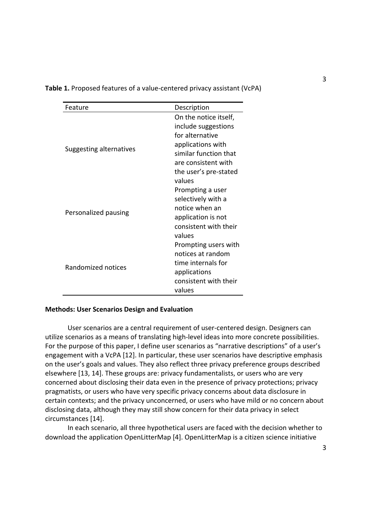| Table 1. Proposed features of a value-centered privacy assistant (VcPA) |  |  |
|-------------------------------------------------------------------------|--|--|
|-------------------------------------------------------------------------|--|--|

| Feature                 | Description                                                                                                                                                             |
|-------------------------|-------------------------------------------------------------------------------------------------------------------------------------------------------------------------|
| Suggesting alternatives | On the notice itself,<br>include suggestions<br>for alternative<br>applications with<br>similar function that<br>are consistent with<br>the user's pre-stated<br>values |
| Personalized pausing    | Prompting a user<br>selectively with a<br>notice when an<br>application is not<br>consistent with their<br>values                                                       |
| Randomized notices      | Prompting users with<br>notices at random<br>time internals for<br>applications<br>consistent with their<br>values                                                      |

### **Methods: User Scenarios Design and Evaluation**

User scenarios are a central requirement of user-centered design. Designers can utilize scenarios as a means of translating high-level ideas into more concrete possibilities. For the purpose of this paper, I define user scenarios as "narrative descriptions" of a user's engagement with a VcPA [12]. In particular, these user scenarios have descriptive emphasis on the user's goals and values. They also reflect three privacy preference groups described elsewhere [13, 14]. These groups are: privacy fundamentalists, or users who are very concerned about disclosing their data even in the presence of privacy protections; privacy pragmatists, or users who have very specific privacy concerns about data disclosure in certain contexts; and the privacy unconcerned, or users who have mild or no concern about disclosing data, although they may still show concern for their data privacy in select circumstances [14].

In each scenario, all three hypothetical users are faced with the decision whether to download the application OpenLitterMap [4]. OpenLitterMap is a citizen science initiative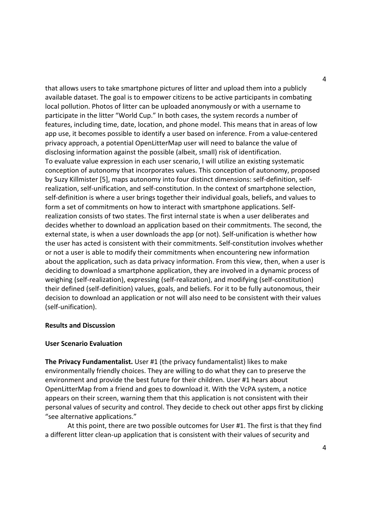that allows users to take smartphone pictures of litter and upload them into a publicly available dataset. The goal is to empower citizens to be active participants in combating local pollution. Photos of litter can be uploaded anonymously or with a username to participate in the litter "World Cup." In both cases, the system records a number of features, including time, date, location, and phone model. This means that in areas of low app use, it becomes possible to identify a user based on inference. From a value-centered privacy approach, a potential OpenLitterMap user will need to balance the value of disclosing information against the possible (albeit, small) risk of identification. To evaluate value expression in each user scenario, I will utilize an existing systematic conception of autonomy that incorporates values. This conception of autonomy, proposed by Suzy Killmister [5], maps autonomy into four distinct dimensions: self-definition, selfrealization, self-unification, and self-constitution. In the context of smartphone selection, self-definition is where a user brings together their individual goals, beliefs, and values to form a set of commitments on how to interact with smartphone applications. Selfrealization consists of two states. The first internal state is when a user deliberates and decides whether to download an application based on their commitments. The second, the external state, is when a user downloads the app (or not). Self-unification is whether how the user has acted is consistent with their commitments. Self-constitution involves whether or not a user is able to modify their commitments when encountering new information about the application, such as data privacy information. From this view, then, when a user is deciding to download a smartphone application, they are involved in a dynamic process of weighing (self-realization), expressing (self-realization), and modifying (self-constitution) their defined (self-definition) values, goals, and beliefs. For it to be fully autonomous, their decision to download an application or not will also need to be consistent with their values (self-unification).

### **Results and Discussion**

### **User Scenario Evaluation**

**The Privacy Fundamentalist.** User #1 (the privacy fundamentalist) likes to make environmentally friendly choices. They are willing to do what they can to preserve the environment and provide the best future for their children. User #1 hears about OpenLitterMap from a friend and goes to download it. With the VcPA system, a notice appears on their screen, warning them that this application is not consistent with their personal values of security and control. They decide to check out other apps first by clicking "see alternative applications."

At this point, there are two possible outcomes for User #1. The first is that they find a different litter clean-up application that is consistent with their values of security and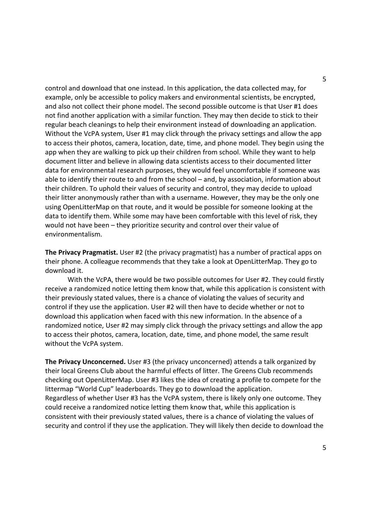control and download that one instead. In this application, the data collected may, for example, only be accessible to policy makers and environmental scientists, be encrypted, and also not collect their phone model. The second possible outcome is that User #1 does not find another application with a similar function. They may then decide to stick to their regular beach cleanings to help their environment instead of downloading an application. Without the VcPA system, User #1 may click through the privacy settings and allow the app to access their photos, camera, location, date, time, and phone model. They begin using the app when they are walking to pick up their children from school. While they want to help document litter and believe in allowing data scientists access to their documented litter data for environmental research purposes, they would feel uncomfortable if someone was able to identify their route to and from the school – and, by association, information about their children. To uphold their values of security and control, they may decide to upload their litter anonymously rather than with a username. However, they may be the only one using OpenLitterMap on that route, and it would be possible for someone looking at the data to identify them. While some may have been comfortable with this level of risk, they would not have been – they prioritize security and control over their value of environmentalism.

**The Privacy Pragmatist.** User #2 (the privacy pragmatist) has a number of practical apps on their phone. A colleague recommends that they take a look at OpenLitterMap. They go to download it.

With the VcPA, there would be two possible outcomes for User #2. They could firstly receive a randomized notice letting them know that, while this application is consistent with their previously stated values, there is a chance of violating the values of security and control if they use the application. User #2 will then have to decide whether or not to download this application when faced with this new information. In the absence of a randomized notice, User #2 may simply click through the privacy settings and allow the app to access their photos, camera, location, date, time, and phone model, the same result without the VcPA system.

**The Privacy Unconcerned.** User #3 (the privacy unconcerned) attends a talk organized by their local Greens Club about the harmful effects of litter. The Greens Club recommends checking out OpenLitterMap. User #3 likes the idea of creating a profile to compete for the littermap "World Cup" leaderboards. They go to download the application. Regardless of whether User #3 has the VcPA system, there is likely only one outcome. They could receive a randomized notice letting them know that, while this application is consistent with their previously stated values, there is a chance of violating the values of security and control if they use the application. They will likely then decide to download the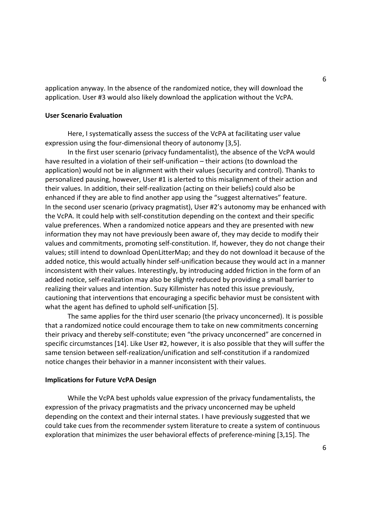application anyway. In the absence of the randomized notice, they will download the application. User #3 would also likely download the application without the VcPA.

#### **User Scenario Evaluation**

Here, I systematically assess the success of the VcPA at facilitating user value expression using the four-dimensional theory of autonomy [3,5].

In the first user scenario (privacy fundamentalist), the absence of the VcPA would have resulted in a violation of their self-unification – their actions (to download the application) would not be in alignment with their values (security and control). Thanks to personalized pausing, however, User #1 is alerted to this misalignment of their action and their values. In addition, their self-realization (acting on their beliefs) could also be enhanced if they are able to find another app using the "suggest alternatives" feature. In the second user scenario (privacy pragmatist), User #2's autonomy may be enhanced with the VcPA. It could help with self-constitution depending on the context and their specific value preferences. When a randomized notice appears and they are presented with new information they may not have previously been aware of, they may decide to modify their values and commitments, promoting self-constitution. If, however, they do not change their values; still intend to download OpenLitterMap; and they do not download it because of the added notice, this would actually hinder self-unification because they would act in a manner inconsistent with their values. Interestingly, by introducing added friction in the form of an added notice, self-realization may also be slightly reduced by providing a small barrier to realizing their values and intention. Suzy Killmister has noted this issue previously, cautioning that interventions that encouraging a specific behavior must be consistent with what the agent has defined to uphold self-unification [5].

The same applies for the third user scenario (the privacy unconcerned). It is possible that a randomized notice could encourage them to take on new commitments concerning their privacy and thereby self-constitute; even "the privacy unconcerned" are concerned in specific circumstances [14]. Like User #2, however, it is also possible that they will suffer the same tension between self-realization/unification and self-constitution if a randomized notice changes their behavior in a manner inconsistent with their values.

#### **Implications for Future VcPA Design**

While the VcPA best upholds value expression of the privacy fundamentalists, the expression of the privacy pragmatists and the privacy unconcerned may be upheld depending on the context and their internal states. I have previously suggested that we could take cues from the recommender system literature to create a system of continuous exploration that minimizes the user behavioral effects of preference-mining [3,15]. The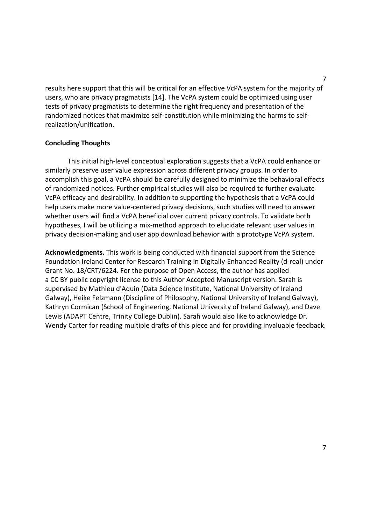results here support that this will be critical for an effective VcPA system for the majority of users, who are privacy pragmatists [14]. The VcPA system could be optimized using user tests of privacy pragmatists to determine the right frequency and presentation of the randomized notices that maximize self-constitution while minimizing the harms to selfrealization/unification.

# **Concluding Thoughts**

This initial high-level conceptual exploration suggests that a VcPA could enhance or similarly preserve user value expression across different privacy groups. In order to accomplish this goal, a VcPA should be carefully designed to minimize the behavioral effects of randomized notices. Further empirical studies will also be required to further evaluate VcPA efficacy and desirability. In addition to supporting the hypothesis that a VcPA could help users make more value-centered privacy decisions, such studies will need to answer whether users will find a VcPA beneficial over current privacy controls. To validate both hypotheses, I will be utilizing a mix-method approach to elucidate relevant user values in privacy decision-making and user app download behavior with a prototype VcPA system.

**Acknowledgments.** This work is being conducted with financial support from the Science Foundation Ireland Center for Research Training in Digitally-Enhanced Reality (d-real) under Grant No. 18/CRT/6224. For the purpose of Open Access, the author has applied a CC BY public copyright license to this Author Accepted Manuscript version. Sarah is supervised by Mathieu d'Aquin (Data Science Institute, National University of Ireland Galway), Heike Felzmann (Discipline of Philosophy, National University of Ireland Galway), Kathryn Cormican (School of Engineering, National University of Ireland Galway), and Dave Lewis (ADAPT Centre, Trinity College Dublin). Sarah would also like to acknowledge Dr. Wendy Carter for reading multiple drafts of this piece and for providing invaluable feedback.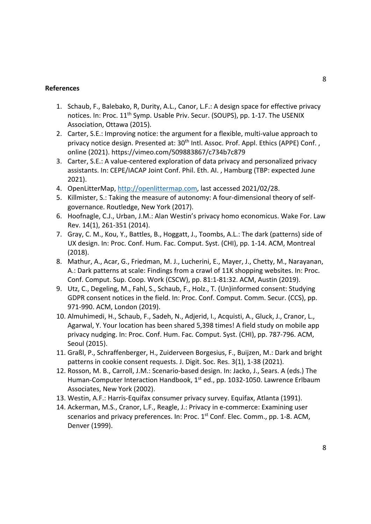## **References**

- 1. Schaub, F., Balebako, R, Durity, A.L., Canor, L.F.: A design space for effective privacy notices. In: Proc. 11<sup>th</sup> Symp. Usable Priv. Secur. (SOUPS), pp. 1-17. The USENIX Association, Ottawa (2015).
- 2. Carter, S.E.: Improving notice: the argument for a flexible, multi-value approach to privacy notice design. Presented at: 30<sup>th</sup> Intl. Assoc. Prof. Appl. Ethics (APPE) Conf., online (2021). https://vimeo.com/509883867/c734b7c879
- 3. Carter, S.E.: A value-centered exploration of data privacy and personalized privacy assistants. In: CEPE/IACAP Joint Conf. Phil. Eth. AI. , Hamburg (TBP: expected June 2021).
- 4. OpenLitterMap, http://openlittermap.com, last accessed 2021/02/28.
- 5. Killmister, S.: Taking the measure of autonomy: A four-dimensional theory of selfgovernance. Routledge, New York (2017).
- 6. Hoofnagle, C.J., Urban, J.M.: Alan Westin's privacy homo economicus. Wake For. Law Rev. 14(1), 261-351 (2014).
- 7. Gray, C. M., Kou, Y., Battles, B., Hoggatt, J., Toombs, A.L.: The dark (patterns) side of UX design. In: Proc. Conf. Hum. Fac. Comput. Syst. (CHI), pp. 1-14. ACM, Montreal (2018).
- 8. Mathur, A., Acar, G., Friedman, M. J., Lucherini, E., Mayer, J., Chetty, M., Narayanan, A.: Dark patterns at scale: Findings from a crawl of 11K shopping websites. In: Proc. Conf. Comput. Sup. Coop. Work (CSCW), pp. 81:1-81:32. ACM, Austin (2019).
- 9. Utz, C., Degeling, M., Fahl, S., Schaub, F., Holz., T. (Un)informed consent: Studying GDPR consent notices in the field. In: Proc. Conf. Comput. Comm. Secur. (CCS), pp. 971-990. ACM, London (2019).
- 10. Almuhimedi, H., Schaub, F., Sadeh, N., Adjerid, I., Acquisti, A., Gluck, J., Cranor, L., Agarwal, Y. Your location has been shared 5,398 times! A field study on mobile app privacy nudging. In: Proc. Conf. Hum. Fac. Comput. Syst. (CHI), pp. 787-796. ACM, Seoul (2015).
- 11. Graßl, P., Schraffenberger, H., Zuiderveen Borgesius, F., Buijzen, M.: Dark and bright patterns in cookie consent requests. J. Digit. Soc. Res. 3(1), 1-38 (2021).
- 12. Rosson, M. B., Carroll, J.M.: Scenario-based design. In: Jacko, J., Sears. A (eds.) The Human-Computer Interaction Handbook, 1<sup>st</sup> ed., pp. 1032-1050. Lawrence Erlbaum Associates, New York (2002).
- 13. Westin, A.F.: Harris-Equifax consumer privacy survey. Equifax, Atlanta (1991).
- 14. Ackerman, M.S., Cranor, L.F., Reagle, J.: Privacy in e-commerce: Examining user scenarios and privacy preferences. In: Proc.  $1<sup>st</sup>$  Conf. Elec. Comm., pp. 1-8. ACM, Denver (1999).